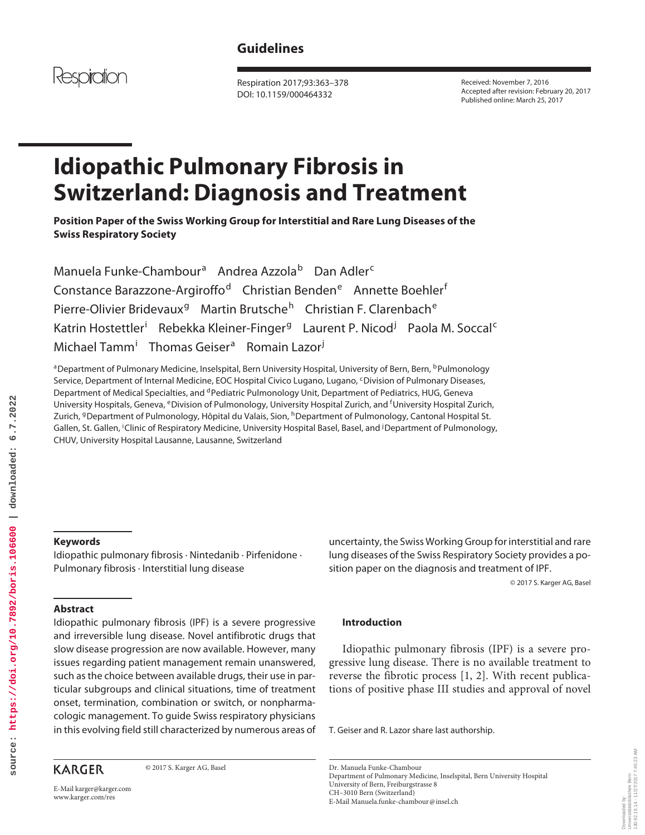# **Guidelines**



 Respiration 2017;93:363–378 DOI: 10.1159/000464332

 Received: November 7, 2016 Accepted after revision: February 20, 2017 Published online: March 25, 2017

# **Idiopathic Pulmonary Fibrosis in Switzerland: Diagnosis and Treatment**

 **Position Paper of the Swiss Working Group for Interstitial and Rare Lung Diseases of the Swiss Respiratory Society** 

Manuela Funke-Chambour<sup>a</sup> Andrea Azzola<sup>b</sup> Dan Adler<sup>c</sup> Constance Barazzone-Argiroffo<sup>d</sup> Christian Benden<sup>e</sup> Annette Boehler<sup>f</sup> Pierre-Olivier Bridevaux<sup>9</sup> Martin Brutsche<sup>h</sup> Christian F. Clarenbach<sup>e</sup> Katrin Hostettler<sup>i</sup> Rebekka Kleiner-Finger<sup>g</sup> Laurent P. Nicod<sup>j</sup> Paola M. Soccal<sup>c</sup> Michael Tamm<sup>i</sup> Thomas Geiser<sup>a</sup> Romain Lazor<sup>j</sup>

<sup>a</sup> Department of Pulmonary Medicine, Inselspital, Bern University Hospital, University of Bern, Bern, <sup>b</sup> Pulmonology Service, Department of Internal Medicine, EOC Hospital Civico Lugano, Lugano, <sup>c</sup> Division of Pulmonary Diseases, Department of Medical Specialties, and <sup>d</sup> Pediatric Pulmonology Unit, Department of Pediatrics, HUG, Geneva University Hospitals, Geneva, <sup>e</sup> Division of Pulmonology, University Hospital Zurich, and <sup>f</sup>University Hospital Zurich, Zurich, <sup>g</sup> Department of Pulmonology, Hôpital du Valais, Sion, <sup>h</sup> Department of Pulmonology, Cantonal Hospital St. Gallen, St. Gallen, <sup>i</sup>Clinic of Respiratory Medicine, University Hospital Basel, Basel, and <sup>j</sup>Department of Pulmonology, CHUV, University Hospital Lausanne, Lausanne, Switzerland

#### **Keywords**

 Idiopathic pulmonary fibrosis · Nintedanib · Pirfenidone · Pulmonary fibrosis · Interstitial lung disease

#### **Abstract**

 Idiopathic pulmonary fibrosis (IPF) is a severe progressive and irreversible lung disease. Novel antifibrotic drugs that slow disease progression are now available. However, many issues regarding patient management remain unanswered, such as the choice between available drugs, their use in particular subgroups and clinical situations, time of treatment onset, termination, combination or switch, or nonpharmacologic management. To guide Swiss respiratory physicians in this evolving field still characterized by numerous areas of

**KARGER** 

© 2017 S. Karger AG, Basel

E-Mail karger@karger.com www.karger.com/res

uncertainty, the Swiss Working Group for interstitial and rare lung diseases of the Swiss Respiratory Society provides a position paper on the diagnosis and treatment of IPF.

© 2017 S. Karger AG, Basel

#### **Introduction**

 Idiopathic pulmonary fibrosis (IPF) is a severe progressive lung disease. There is no available treatment to reverse the fibrotic process [1, 2]. With recent publications of positive phase III studies and approval of novel

T. Geiser and R. Lazor share last authorship.

 Dr. Manuela Funke-Chambour Department of Pulmonary Medicine, Inselspital, Bern University Hospital University of Bern, Freiburgstrasse 8 CH–3010 Bern (Switzerland) E-Mail Manuela.funke-chambour @ insel.ch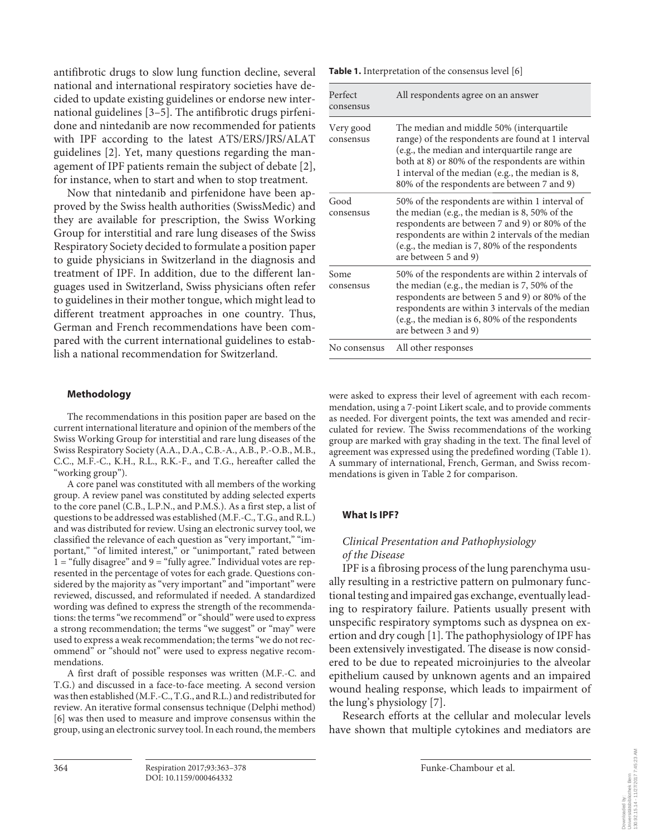antifibrotic drugs to slow lung function decline, several national and international respiratory societies have decided to update existing guidelines or endorse new international guidelines [3-5]. The antifibrotic drugs pirfenidone and nintedanib are now recommended for patients with IPF according to the latest ATS/ERS/JRS/ALAT guidelines [2]. Yet, many questions regarding the management of IPF patients remain the subject of debate [2] , for instance, when to start and when to stop treatment.

 Now that nintedanib and pirfenidone have been approved by the Swiss health authorities (SwissMedic) and they are available for prescription, the Swiss Working Group for interstitial and rare lung diseases of the Swiss Respiratory Society decided to formulate a position paper to guide physicians in Switzerland in the diagnosis and treatment of IPF. In addition, due to the different languages used in Switzerland, Swiss physicians often refer to guidelines in their mother tongue, which might lead to different treatment approaches in one country. Thus, German and French recommendations have been compared with the current international guidelines to establish a national recommendation for Switzerland.

#### **Methodology**

 The recommendations in this position paper are based on the current international literature and opinion of the members of the Swiss Working Group for interstitial and rare lung diseases of the Swiss Respiratory Society (A.A., D.A., C.B.-A., A.B., P.-O.B., M.B., C.C., M.F.-C., K.H., R.L., R.K.-F., and T.G., hereafter called the "working group").

 A core panel was constituted with all members of the working group. A review panel was constituted by adding selected experts to the core panel (C.B., L.P.N., and P.M.S.). As a first step, a list of questions to be addressed was established (M.F.-C., T.G., and R.L.) and was distributed for review. Using an electronic survey tool, we classified the relevance of each question as "very important," "important," "of limited interest," or "unimportant," rated between  $1 =$ "fully disagree" and 9 = "fully agree." Individual votes are represented in the percentage of votes for each grade. Questions considered by the majority as "very important" and "important" were reviewed, discussed, and reformulated if needed. A standardized wording was defined to express the strength of the recommendations: the terms "we recommend" or "should" were used to express a strong recommendation; the terms "we suggest" or "may" were used to express a weak recommendation; the terms "we do not recommend" or "should not" were used to express negative recommendations.

 A first draft of possible responses was written (M.F.-C. and T.G.) and discussed in a face-to-face meeting. A second version was then established (M.F.-C., T.G., and R.L.) and redistributed for review. An iterative formal consensus technique (Delphi method) [6] was then used to measure and improve consensus within the group, using an electronic survey tool. In each round, the members **Table 1.** Interpretation of the consensus level [6]

| Perfect<br>consensus   | All respondents agree on an answer                                                                                                                                                                                                                                                                   |
|------------------------|------------------------------------------------------------------------------------------------------------------------------------------------------------------------------------------------------------------------------------------------------------------------------------------------------|
| Very good<br>consensus | The median and middle 50% (interquartile<br>range) of the respondents are found at 1 interval<br>(e.g., the median and interquartile range are<br>both at 8) or 80% of the respondents are within<br>1 interval of the median (e.g., the median is 8,<br>80% of the respondents are between 7 and 9) |
| Good<br>consensus      | 50% of the respondents are within 1 interval of<br>the median (e.g., the median is 8, 50% of the<br>respondents are between 7 and 9) or 80% of the<br>respondents are within 2 intervals of the median<br>(e.g., the median is 7, 80% of the respondents<br>are between 5 and 9)                     |
| Some<br>consensus      | 50% of the respondents are within 2 intervals of<br>the median (e.g., the median is 7, 50% of the<br>respondents are between 5 and 9) or 80% of the<br>respondents are within 3 intervals of the median<br>(e.g., the median is 6, 80% of the respondents<br>are between 3 and 9)                    |
| No consensus           | All other responses                                                                                                                                                                                                                                                                                  |

were asked to express their level of agreement with each recommendation, using a 7-point Likert scale, and to provide comments as needed. For divergent points, the text was amended and recirculated for review. The Swiss recommendations of the working group are marked with gray shading in the text. The final level of agreement was expressed using the predefined wording (Table 1). A summary of international, French, German, and Swiss recommendations is given in Table 2 for comparison.

#### **What Is IPF?**

#### *Clinical Presentation and Pathophysiology of the Disease*

 IPF is a fibrosing process of the lung parenchyma usually resulting in a restrictive pattern on pulmonary functional testing and impaired gas exchange, eventually leading to respiratory failure. Patients usually present with unspecific respiratory symptoms such as dyspnea on exertion and dry cough [1]. The pathophysiology of IPF has been extensively investigated. The disease is now considered to be due to repeated microinjuries to the alveolar epithelium caused by unknown agents and an impaired wound healing response, which leads to impairment of the lung's physiology [7] .

Research efforts at the cellular and molecular levels have shown that multiple cytokines and mediators are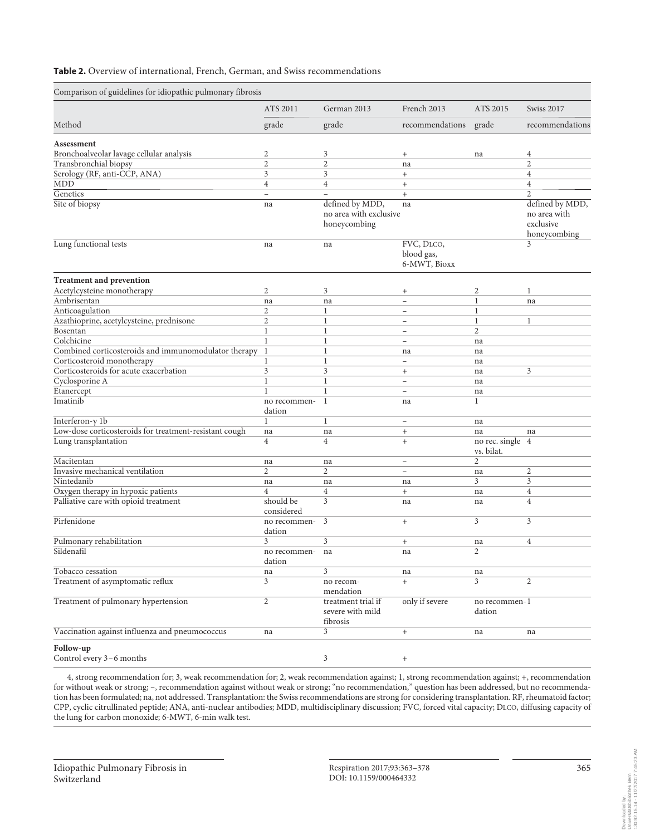#### **Table 2.** Overview of international, French, German, and Swiss recommendations

| Comparison of guidelines for idiopathic pulmonary fibrosis |                           |                                                           |                                          |                                |                                                              |
|------------------------------------------------------------|---------------------------|-----------------------------------------------------------|------------------------------------------|--------------------------------|--------------------------------------------------------------|
|                                                            | ATS 2011                  | German 2013                                               | French 2013                              | ATS 2015                       | <b>Swiss 2017</b>                                            |
| Method                                                     | grade                     | grade                                                     | recommendations                          | grade                          | recommendations                                              |
| Assessment                                                 |                           |                                                           |                                          |                                |                                                              |
| Bronchoalveolar lavage cellular analysis                   | 2                         | 3                                                         | $^{+}$                                   | na                             | 4                                                            |
| Transbronchial biopsy                                      | $\overline{2}$            | $\overline{2}$                                            | na                                       |                                | $\overline{2}$                                               |
| Serology (RF, anti-CCP, ANA)                               | 3                         | 3                                                         | $^{+}$                                   |                                | $\,4\,$                                                      |
| MDD                                                        | $\overline{4}$            | 4                                                         | $+$                                      |                                | $\overline{4}$                                               |
| Genetics                                                   | $\overline{a}$            | $\overline{a}$                                            | $+$                                      |                                | $\overline{2}$                                               |
| Site of biopsy                                             | na                        | defined by MDD,<br>no area with exclusive<br>honeycombing | na                                       |                                | defined by MDD,<br>no area with<br>exclusive<br>honeycombing |
| Lung functional tests                                      | na                        | na                                                        | FVC, DLCO,<br>blood gas,<br>6-MWT, Bioxx |                                | 3                                                            |
| <b>Treatment and prevention</b>                            |                           |                                                           |                                          |                                |                                                              |
| Acetylcysteine monotherapy                                 | 2                         | 3                                                         | $^{+}$                                   | 2                              | $\mathbf{1}$                                                 |
| Ambrisentan                                                | na                        | na                                                        | $\overline{\phantom{a}}$                 | $\mathbf{1}$                   | na                                                           |
| Anticoagulation                                            | $\mathbf{2}$              | $\mathbf{1}$                                              | $\qquad \qquad -$                        | $\mathbf{1}$                   |                                                              |
| Azathioprine, acetylcysteine, prednisone                   | $\overline{c}$            | $\mathbf{1}$                                              | $\overline{\phantom{0}}$                 | 1                              | $\mathbf{1}$                                                 |
| Bosentan                                                   | $\mathbf{1}$              | $\mathbf{1}$                                              | $\overline{\phantom{0}}$                 | 2                              |                                                              |
| Colchicine                                                 | $\mathbf{1}$              | $\mathbf{1}$                                              | $\qquad \qquad -$                        | na                             |                                                              |
| Combined corticosteroids and immunomodulator therapy       | $\mathbf{1}$              | $\mathbf{1}$                                              | na                                       | na                             |                                                              |
| Corticosteroid monotherapy                                 | $\mathbf{1}$              | $\mathbf{1}$                                              | $\overline{\phantom{0}}$                 | na                             |                                                              |
| Corticosteroids for acute exacerbation                     | 3                         | 3                                                         | $^{+}$                                   | na                             | 3                                                            |
| Cyclosporine A                                             | 1                         | 1                                                         | $\overline{\phantom{0}}$                 | na                             |                                                              |
| Etanercept                                                 | $\mathbf{1}$              | $\mathbf{1}$                                              | $\overline{\phantom{0}}$                 | na                             |                                                              |
| Imatinib                                                   | no recommen-<br>dation    | $\mathbf{1}$                                              | na                                       | $\mathbf{1}$                   |                                                              |
| Interferon- $\gamma$ 1b                                    | $\mathbf{1}$              | $\mathbf{1}$                                              | $\overline{\phantom{0}}$                 | na                             |                                                              |
| Low-dose corticosteroids for treatment-resistant cough     | na                        | na                                                        | $\begin{array}{c} + \end{array}$         | na                             | na                                                           |
| Lung transplantation                                       | $\overline{4}$            | $\overline{4}$                                            | $+$                                      | no rec. single 4<br>vs. bilat. |                                                              |
| Macitentan                                                 | na                        | na                                                        | $\overline{\phantom{m}}$                 | $\overline{2}$                 |                                                              |
| Invasive mechanical ventilation                            | $\overline{2}$            | $\overline{2}$                                            | $\overline{\phantom{0}}$                 | na                             | 2                                                            |
| Nintedanib                                                 | na                        | na                                                        | na                                       | 3                              | 3                                                            |
| Oxygen therapy in hypoxic patients                         | $\overline{4}$            | $\overline{4}$                                            | $^{+}$                                   | na                             | $\overline{4}$                                               |
| Palliative care with opioid treatment                      | should be<br>considered   | 3                                                         | na                                       | na                             | $\overline{4}$                                               |
| Pirfenidone                                                | no recommen-<br>dation    | 3                                                         | $+$                                      | 3                              | $\mathfrak{Z}$                                               |
| Pulmonary rehabilitation                                   | 3                         | 3                                                         | $\begin{array}{c} + \end{array}$         | na                             | 4                                                            |
| Sildenafil                                                 | no recommen- na<br>dation |                                                           | na                                       | 2                              |                                                              |
| Tobacco cessation                                          | na                        | 3                                                         | na                                       | na                             |                                                              |
| Treatment of asymptomatic reflux                           | 3                         | no recom-<br>mendation                                    | $+$                                      | 3                              | $\overline{2}$                                               |
| Treatment of pulmonary hypertension                        | $\overline{c}$            | treatment trial if<br>severe with mild<br>fibrosis        | only if severe                           | no recommen-1<br>dation        |                                                              |
| Vaccination against influenza and pneumococcus             | na                        | 3                                                         | $\begin{array}{c} + \end{array}$         | na                             | na                                                           |
| Follow-up<br>Control every 3-6 months                      |                           | 3                                                         | $\, +$                                   |                                |                                                              |

 4, strong recommendation for; 3, weak recommendation for; 2, weak recommendation against; 1, strong recommendation against; +, recommendation for without weak or strong; –, recommendation against without weak or strong; "no recommendation," question has been addressed, but no recommendation has been formulated; na, not addressed. Transplantation: the Swiss recommendations are strong for considering transplantation. RF, rheumatoid factor; CPP, cyclic citrullinated peptide; ANA, anti-nuclear antibodies; MDD, multidisciplinary discussion; FVC, forced vital capacity; DLCO, diffusing capacity of the lung for carbon monoxide; 6-MWT, 6-min walk test.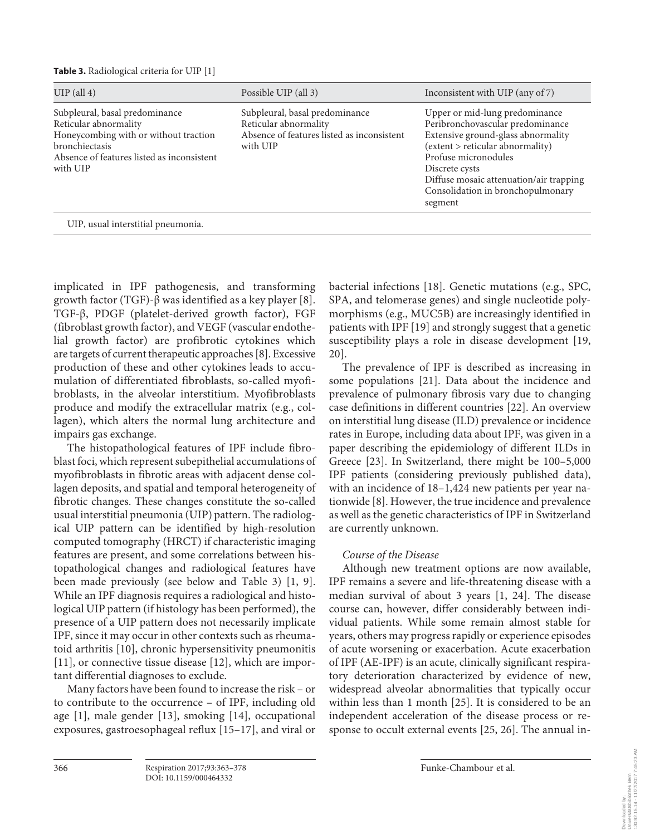**Table 3.** Radiological criteria for UIP [1]

| $UIP$ (all 4)                                                                                                                                                                | Possible UIP (all 3)                                                                                              | Inconsistent with UIP (any of 7)                                                                                                                                                                                                                                                  |
|------------------------------------------------------------------------------------------------------------------------------------------------------------------------------|-------------------------------------------------------------------------------------------------------------------|-----------------------------------------------------------------------------------------------------------------------------------------------------------------------------------------------------------------------------------------------------------------------------------|
| Subpleural, basal predominance<br>Reticular abnormality<br>Honeycombing with or without traction<br>bronchiectasis<br>Absence of features listed as inconsistent<br>with UIP | Subpleural, basal predominance<br>Reticular abnormality<br>Absence of features listed as inconsistent<br>with UIP | Upper or mid-lung predominance<br>Peribronchovascular predominance<br>Extensive ground-glass abnormality<br>(extent > reticular abnormality)<br>Profuse micronodules<br>Discrete cysts<br>Diffuse mosaic attenuation/air trapping<br>Consolidation in bronchopulmonary<br>segment |
| UIP, usual interstitial pneumonia.                                                                                                                                           |                                                                                                                   |                                                                                                                                                                                                                                                                                   |

implicated in IPF pathogenesis, and transforming growth factor (TGF)- $\beta$  was identified as a key player [8]. TGF-β, PDGF (platelet-derived growth factor), FGF (fibroblast growth factor), and VEGF (vascular endothelial growth factor) are profibrotic cytokines which are targets of current therapeutic approaches [8] . Excessive production of these and other cytokines leads to accumulation of differentiated fibroblasts, so-called myofibroblasts, in the alveolar interstitium. Myofibroblasts produce and modify the extracellular matrix (e.g., collagen), which alters the normal lung architecture and impairs gas exchange.

 The histopathological features of IPF include fibroblast foci, which represent subepithelial accumulations of myofibroblasts in fibrotic areas with adjacent dense collagen deposits, and spatial and temporal heterogeneity of fibrotic changes. These changes constitute the so-called usual interstitial pneumonia (UIP) pattern. The radiological UIP pattern can be identified by high-resolution computed tomography (HRCT) if characteristic imaging features are present, and some correlations between histopathological changes and radiological features have been made previously (see below and Table 3) [1, 9]. While an IPF diagnosis requires a radiological and histological UIP pattern (if histology has been performed), the presence of a UIP pattern does not necessarily implicate IPF, since it may occur in other contexts such as rheumatoid arthritis [10], chronic hypersensitivity pneumonitis [11], or connective tissue disease [12], which are important differential diagnoses to exclude.

 Many factors have been found to increase the risk – or to contribute to the occurrence – of IPF, including old age [1], male gender [13], smoking [14], occupational exposures, gastroesophageal reflux [15–17] , and viral or bacterial infections [18]. Genetic mutations (e.g., SPC, SPA, and telomerase genes) and single nucleotide polymorphisms (e.g., MUC5B) are increasingly identified in patients with IPF [19] and strongly suggest that a genetic susceptibility plays a role in disease development [19, 20].

 The prevalence of IPF is described as increasing in some populations [21]. Data about the incidence and prevalence of pulmonary fibrosis vary due to changing case definitions in different countries [22] . An overview on interstitial lung disease (ILD) prevalence or incidence rates in Europe, including data about IPF, was given in a paper describing the epidemiology of different ILDs in Greece [23]. In Switzerland, there might be 100-5,000 IPF patients (considering previously published data), with an incidence of 18–1,424 new patients per year nationwide [8]. However, the true incidence and prevalence as well as the genetic characteristics of IPF in Switzerland are currently unknown.

#### *Course of the Disease*

 Although new treatment options are now available, IPF remains a severe and life-threatening disease with a median survival of about 3 years  $[1, 24]$ . The disease course can, however, differ considerably between individual patients. While some remain almost stable for years, others may progress rapidly or experience episodes of acute worsening or exacerbation. Acute exacerbation of IPF (AE-IPF) is an acute, clinically significant respiratory deterioration characterized by evidence of new, widespread alveolar abnormalities that typically occur within less than 1 month [25]. It is considered to be an independent acceleration of the disease process or response to occult external events [25, 26]. The annual in-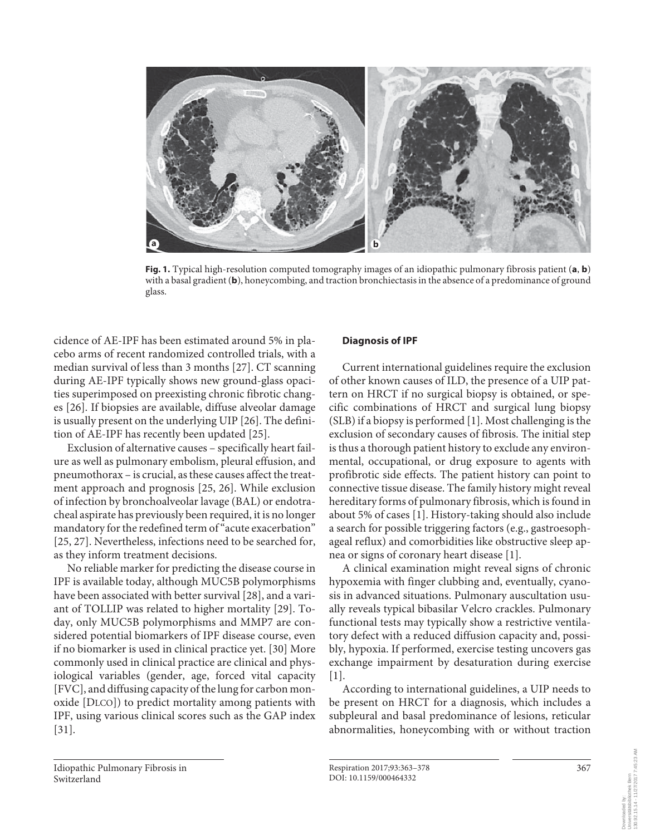

**Fig. 1.** Typical high-resolution computed tomography images of an idiopathic pulmonary fibrosis patient (**a**, **b**) with a basal gradient (**b**), honeycombing, and traction bronchiectasis in the absence of a predominance of ground glass.

cidence of AE-IPF has been estimated around 5% in placebo arms of recent randomized controlled trials, with a median survival of less than 3 months [27] . CT scanning during AE-IPF typically shows new ground-glass opacities superimposed on preexisting chronic fibrotic changes [26]. If biopsies are available, diffuse alveolar damage is usually present on the underlying UIP [26]. The definition of AE-IPF has recently been updated [25] .

 Exclusion of alternative causes – specifically heart failure as well as pulmonary embolism, pleural effusion, and pneumothorax – is crucial, as these causes affect the treatment approach and prognosis [25, 26]. While exclusion of infection by bronchoalveolar lavage (BAL) or endotracheal aspirate has previously been required, it is no longer mandatory for the redefined term of "acute exacerbation" [25, 27]. Nevertheless, infections need to be searched for, as they inform treatment decisions.

 No reliable marker for predicting the disease course in IPF is available today, although MUC5B polymorphisms have been associated with better survival [28], and a variant of TOLLIP was related to higher mortality [29]. Today, only MUC5B polymorphisms and MMP7 are considered potential biomarkers of IPF disease course, even if no biomarker is used in clinical practice yet. [30] More commonly used in clinical practice are clinical and physiological variables (gender, age, forced vital capacity [FVC], and diffusing capacity of the lung for carbon monoxide [DLCO]) to predict mortality among patients with IPF, using various clinical scores such as the GAP index  $[31]$ .

#### **Diagnosis of IPF**

 Current international guidelines require the exclusion of other known causes of ILD, the presence of a UIP pattern on HRCT if no surgical biopsy is obtained, or specific combinations of HRCT and surgical lung biopsy (SLB) if a biopsy is performed [1] . Most challenging is the exclusion of secondary causes of fibrosis. The initial step is thus a thorough patient history to exclude any environmental, occupational, or drug exposure to agents with profibrotic side effects. The patient history can point to connective tissue disease. The family history might reveal hereditary forms of pulmonary fibrosis, which is found in about 5% of cases [1] . History-taking should also include a search for possible triggering factors (e.g., gastroesophageal reflux) and comorbidities like obstructive sleep apnea or signs of coronary heart disease [1] .

 A clinical examination might reveal signs of chronic hypoxemia with finger clubbing and, eventually, cyanosis in advanced situations. Pulmonary auscultation usually reveals typical bibasilar Velcro crackles. Pulmonary functional tests may typically show a restrictive ventilatory defect with a reduced diffusion capacity and, possibly, hypoxia. If performed, exercise testing uncovers gas exchange impairment by desaturation during exercise  $[1]$ .

 According to international guidelines, a UIP needs to be present on HRCT for a diagnosis, which includes a subpleural and basal predominance of lesions, reticular abnormalities, honeycombing with or without traction

Jniversitätsbibliothek Bern<br>30.92.15.14 - 11/27/2017 7:45:23 AM 130.92.15.14 - 11/27/2017 7:45:23 AMUniversitätsbibliothek Bern Downloaded by: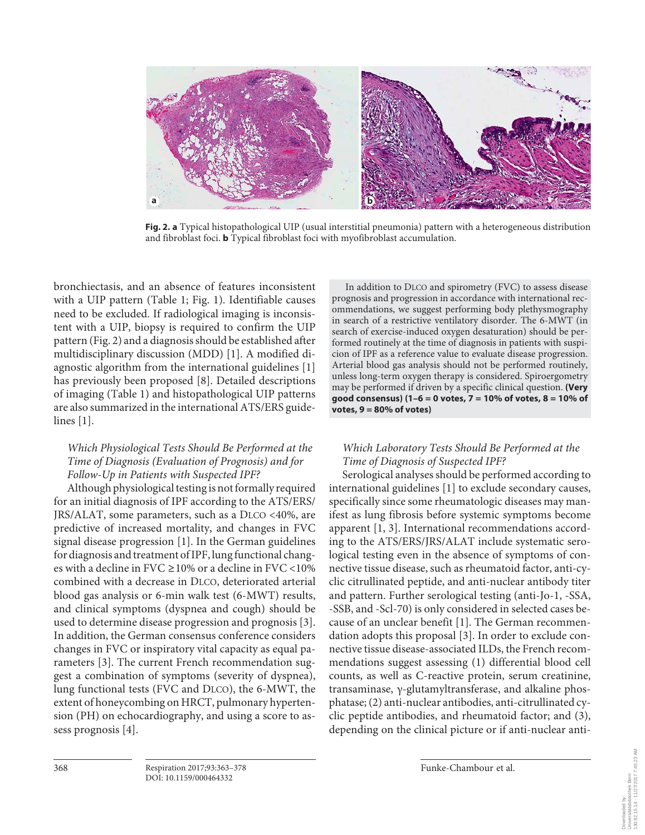

**Fig. 2. a** Typical histopathological UIP (usual interstitial pneumonia) pattern with a heterogeneous distribution and fibroblast foci. **b** Typical fibroblast foci with myofibroblast accumulation.

bronchiectasis, and an absence of features inconsistent with a UIP pattern (Table 1; Fig. 1). Identifiable causes need to be excluded. If radiological imaging is inconsistent with a UIP, biopsy is required to confirm the UIP pattern (Fig. 2) and a diagnosis should be established after multidisciplinary discussion (MDD) [1]. A modified diagnostic algorithm from the international guidelines [1] has previously been proposed [8]. Detailed descriptions of imaging (Table 1) and histopathological UIP patterns are also summarized in the international ATS/ERS guidelines  $[1]$ .

## *Which Physiological Tests Should Be Performed at the Time of Diagnosis (Evaluation of Prognosis) and for Follow-Up in Patients with Suspected IPF?*

 Although physiological testing is not formally required for an initial diagnosis of IPF according to the ATS/ERS/ JRS/ALAT, some parameters, such as a DLCO <40%, are predictive of increased mortality, and changes in FVC signal disease progression [1]. In the German guidelines for diagnosis and treatment of IPF, lung functional changes with a decline in FVC  $\geq$  10% or a decline in FVC <10% combined with a decrease in DLCO, deteriorated arterial blood gas analysis or 6-min walk test (6-MWT) results, and clinical symptoms (dyspnea and cough) should be used to determine disease progression and prognosis [3] . In addition, the German consensus conference considers changes in FVC or inspiratory vital capacity as equal parameters [3]. The current French recommendation suggest a combination of symptoms (severity of dyspnea), lung functional tests (FVC and DLCO), the 6-MWT, the extent of honeycombing on HRCT, pulmonary hypertension (PH) on echocardiography, and using a score to assess prognosis [4].

In addition to DLCO and spirometry (FVC) to assess disease prognosis and progression in accordance with international recommendations, we suggest performing body plethysmography in search of a restrictive ventilatory disorder. The 6-MWT (in search of exercise-induced oxygen desaturation) should be performed routinely at the time of diagnosis in patients with suspicion of IPF as a reference value to evaluate disease progression. Arterial blood gas analysis should not be performed routinely, unless long-term oxygen therapy is considered. Spiroergometry may be performed if driven by a specific clinical question. **(Very good consensus) (1–6 = 0 votes, 7 = 10% of votes, 8 = 10% of votes, 9 = 80% of votes)**

#### *Which Laboratory Tests Should Be Performed at the Time of Diagnosis of Suspected IPF?*

 Serological analyses should be performed according to international guidelines [1] to exclude secondary causes, specifically since some rheumatologic diseases may manifest as lung fibrosis before systemic symptoms become apparent [1, 3]. International recommendations according to the ATS/ERS/JRS/ALAT include systematic serological testing even in the absence of symptoms of connective tissue disease, such as rheumatoid factor, anti-cyclic citrullinated peptide, and anti-nuclear antibody titer and pattern. Further serological testing (anti-Jo-1, -SSA, -SSB, and -Scl-70) is only considered in selected cases because of an unclear benefit [1]. The German recommendation adopts this proposal [3]. In order to exclude connective tissue disease-associated ILDs, the French recommendations suggest assessing (1) differential blood cell counts, as well as C-reactive protein, serum creatinine, transaminase, γ-glutamyltransferase, and alkaline phosphatase; (2) anti-nuclear antibodies, anti-citrullinated cyclic peptide antibodies, and rheumatoid factor; and (3), depending on the clinical picture or if anti-nuclear anti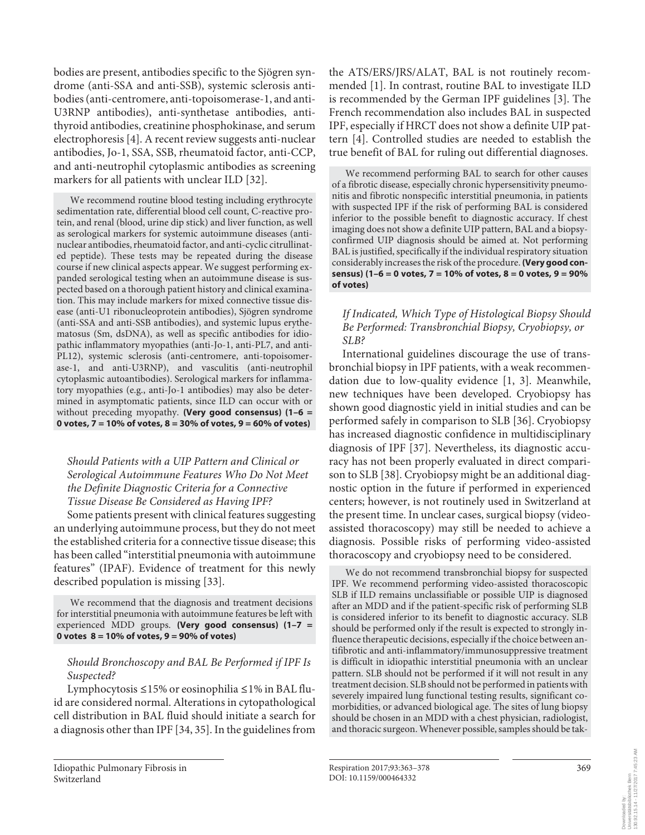bodies are present, antibodies specific to the Sjögren syndrome (anti-SSA and anti-SSB), systemic sclerosis antibodies (anti-centromere, anti-topoisomerase-1, and anti-U3RNP antibodies), anti-synthetase antibodies, antithyroid antibodies, creatinine phosphokinase, and serum electrophoresis [4]. A recent review suggests anti-nuclear antibodies, Jo-1, SSA, SSB, rheumatoid factor, anti-CCP, and anti-neutrophil cytoplasmic antibodies as screening markers for all patients with unclear ILD [32] .

 We recommend routine blood testing including erythrocyte sedimentation rate, differential blood cell count, C-reactive protein, and renal (blood, urine dip stick) and liver function, as well as serological markers for systemic autoimmune diseases (antinuclear antibodies, rheumatoid factor, and anti-cyclic citrullinated peptide). These tests may be repeated during the disease course if new clinical aspects appear. We suggest performing expanded serological testing when an autoimmune disease is suspected based on a thorough patient history and clinical examination. This may include markers for mixed connective tissue disease (anti-U1 ribonucleoprotein antibodies), Sjögren syndrome (anti-SSA and anti-SSB antibodies), and systemic lupus erythematosus (Sm, dsDNA), as well as specific antibodies for idiopathic inflammatory myopathies (anti-Jo-1, anti-PL7, and anti-PL12), systemic sclerosis (anti-centromere, anti-topoisomerase-1, and anti-U3RNP), and vasculitis (anti-neutrophil cytoplasmic autoantibodies). Serological markers for inflammatory myopathies (e.g., anti-Jo-1 antibodies) may also be determined in asymptomatic patients, since ILD can occur with or without preceding myopathy. **(Very good consensus) (1–6 = 0 votes, 7 = 10% of votes, 8 = 30% of votes, 9 = 60% of votes)**

 *Should Patients with a UIP Pattern and Clinical or Serological Autoimmune Features Who Do Not Meet the Definite Diagnostic Criteria for a Connective Tissue Disease Be Considered as Having IPF?* 

 Some patients present with clinical features suggesting an underlying autoimmune process, but they do not meet the established criteria for a connective tissue disease; this has been called "interstitial pneumonia with autoimmune features" (IPAF). Evidence of treatment for this newly described population is missing [33] .

 We recommend that the diagnosis and treatment decisions for interstitial pneumonia with autoimmune features be left with experienced MDD groups. **(Very good consensus) (1–7 = 0 votes 8 = 10% of votes, 9 = 90% of votes)**

# *Should Bronchoscopy and BAL Be Performed if IPF Is Suspected?*

 Lymphocytosis ≤ 15% or eosinophilia ≤ 1% in BAL fluid are considered normal. Alterations in cytopathological cell distribution in BAL fluid should initiate a search for a diagnosis other than IPF [34, 35] . In the guidelines from the ATS/ERS/JRS/ALAT, BAL is not routinely recommended [1]. In contrast, routine BAL to investigate ILD is recommended by the German IPF guidelines [3]. The French recommendation also includes BAL in suspected IPF, especially if HRCT does not show a definite UIP pattern [4]. Controlled studies are needed to establish the true benefit of BAL for ruling out differential diagnoses.

 We recommend performing BAL to search for other causes of a fibrotic disease, especially chronic hypersensitivity pneumonitis and fibrotic nonspecific interstitial pneumonia, in patients with suspected IPF if the risk of performing BAL is considered inferior to the possible benefit to diagnostic accuracy. If chest imaging does not show a definite UIP pattern, BAL and a biopsyconfirmed UIP diagnosis should be aimed at. Not performing BAL is justified, specifically if the individual respiratory situation considerably increases the risk of the procedure. **(Very good consensus) (1–6 = 0 votes, 7 = 10% of votes, 8 = 0 votes, 9 = 90% of votes)**

# *If Indicated, Which Type of Histological Biopsy Should Be Performed: Transbronchial Biopsy, Cryobiopsy, or SLB?*

 International guidelines discourage the use of transbronchial biopsy in IPF patients, with a weak recommendation due to low-quality evidence [1, 3]. Meanwhile, new techniques have been developed. Cryobiopsy has shown good diagnostic yield in initial studies and can be performed safely in comparison to SLB [36] . Cryobiopsy has increased diagnostic confidence in multidisciplinary diagnosis of IPF [37]. Nevertheless, its diagnostic accuracy has not been properly evaluated in direct comparison to SLB [38]. Cryobiopsy might be an additional diagnostic option in the future if performed in experienced centers; however, is not routinely used in Switzerland at the present time. In unclear cases, surgical biopsy (videoassisted thoracoscopy) may still be needed to achieve a diagnosis. Possible risks of performing video-assisted thoracoscopy and cryobiopsy need to be considered.

 We do not recommend transbronchial biopsy for suspected IPF. We recommend performing video-assisted thoracoscopic SLB if ILD remains unclassifiable or possible UIP is diagnosed after an MDD and if the patient-specific risk of performing SLB is considered inferior to its benefit to diagnostic accuracy. SLB should be performed only if the result is expected to strongly influence therapeutic decisions, especially if the choice between antifibrotic and anti-inflammatory/immunosuppressive treatment is difficult in idiopathic interstitial pneumonia with an unclear pattern. SLB should not be performed if it will not result in any treatment decision. SLB should not be performed in patients with severely impaired lung functional testing results, significant comorbidities, or advanced biological age. The sites of lung biopsy should be chosen in an MDD with a chest physician, radiologist, and thoracic surgeon. Whenever possible, samples should be tak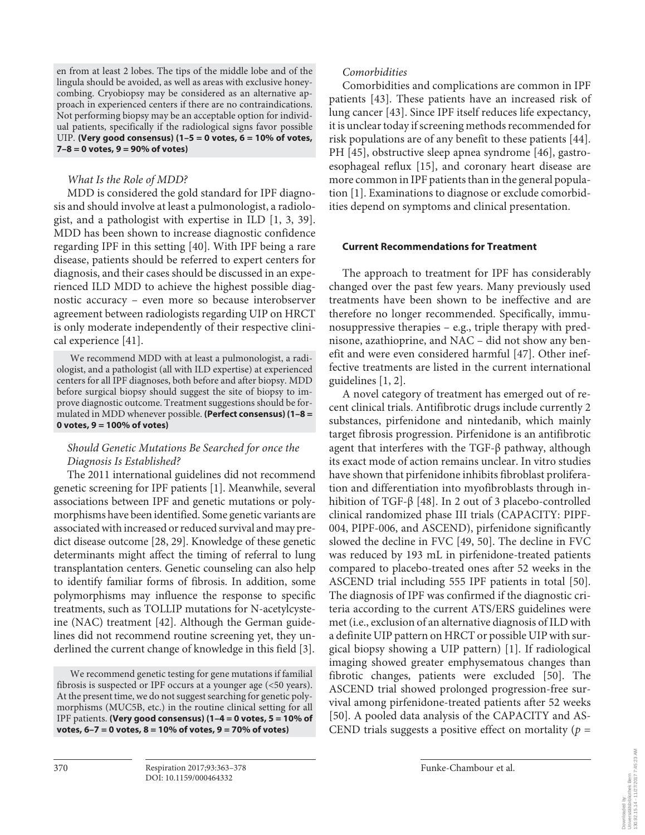en from at least 2 lobes. The tips of the middle lobe and of the lingula should be avoided, as well as areas with exclusive honeycombing. Cryobiopsy may be considered as an alternative approach in experienced centers if there are no contraindications. Not performing biopsy may be an acceptable option for individual patients, specifically if the radiological signs favor possible UIP. **(Very good consensus) (1–5 = 0 votes, 6 = 10% of votes, 7–8 = 0 votes, 9 = 90% of votes)**

## *What Is the Role of MDD?*

 MDD is considered the gold standard for IPF diagnosis and should involve at least a pulmonologist, a radiologist, and a pathologist with expertise in ILD [1, 3, 39] . MDD has been shown to increase diagnostic confidence regarding IPF in this setting [40] . With IPF being a rare disease, patients should be referred to expert centers for diagnosis, and their cases should be discussed in an experienced ILD MDD to achieve the highest possible diagnostic accuracy – even more so because interobserver agreement between radiologists regarding UIP on HRCT is only moderate independently of their respective clinical experience [41] .

 We recommend MDD with at least a pulmonologist, a radiologist, and a pathologist (all with ILD expertise) at experienced centers for all IPF diagnoses, both before and after biopsy. MDD before surgical biopsy should suggest the site of biopsy to improve diagnostic outcome. Treatment suggestions should be formulated in MDD whenever possible. **(Perfect consensus) (1–8 = 0 votes, 9 = 100% of votes)**

# *Should Genetic Mutations Be Searched for once the Diagnosis Is Established?*

 The 2011 international guidelines did not recommend genetic screening for IPF patients [1] . Meanwhile, several associations between IPF and genetic mutations or polymorphisms have been identified. Some genetic variants are associated with increased or reduced survival and may predict disease outcome [28, 29]. Knowledge of these genetic determinants might affect the timing of referral to lung transplantation centers. Genetic counseling can also help to identify familiar forms of fibrosis. In addition, some polymorphisms may influence the response to specific treatments, such as TOLLIP mutations for N-acetylcysteine (NAC) treatment [42]. Although the German guidelines did not recommend routine screening yet, they underlined the current change of knowledge in this field [3].

 We recommend genetic testing for gene mutations if familial fibrosis is suspected or IPF occurs at a younger age (<50 years). At the present time, we do not suggest searching for genetic polymorphisms (MUC5B, etc.) in the routine clinical setting for all IPF patients. **(Very good consensus) (1–4 = 0 votes, 5 = 10% of votes, 6–7 = 0 votes, 8 = 10% of votes, 9 = 70% of votes)**

# *Comorbidities*

 Comorbidities and complications are common in IPF patients [43]. These patients have an increased risk of lung cancer [43]. Since IPF itself reduces life expectancy, it is unclear today if screening methods recommended for risk populations are of any benefit to these patients [44] . PH [45], obstructive sleep apnea syndrome [46], gastroesophageal reflux [15], and coronary heart disease are more common in IPF patients than in the general population [1]. Examinations to diagnose or exclude comorbidities depend on symptoms and clinical presentation.

#### **Current Recommendations for Treatment**

 The approach to treatment for IPF has considerably changed over the past few years. Many previously used treatments have been shown to be ineffective and are therefore no longer recommended. Specifically, immunosuppressive therapies – e.g., triple therapy with prednisone, azathioprine, and NAC – did not show any benefit and were even considered harmful [47] . Other ineffective treatments are listed in the current international guidelines [1, 2] .

 A novel category of treatment has emerged out of recent clinical trials. Antifibrotic drugs include currently 2 substances, pirfenidone and nintedanib, which mainly target fibrosis progression. Pirfenidone is an antifibrotic agent that interferes with the  $TGF- $\beta$  pathway, although$ its exact mode of action remains unclear. In vitro studies have shown that pirfenidone inhibits fibroblast proliferation and differentiation into myofibroblasts through inhibition of TGF- $\beta$  [48]. In 2 out of 3 placebo-controlled clinical randomized phase III trials (CAPACITY: PIPF-004, PIPF-006, and ASCEND), pirfenidone significantly slowed the decline in FVC [49, 50]. The decline in FVC was reduced by 193 mL in pirfenidone-treated patients compared to placebo-treated ones after 52 weeks in the ASCEND trial including 555 IPF patients in total [50]. The diagnosis of IPF was confirmed if the diagnostic criteria according to the current ATS/ERS guidelines were met (i.e., exclusion of an alternative diagnosis of ILD with a definite UIP pattern on HRCT or possible UIP with surgical biopsy showing a UIP pattern) [1]. If radiological imaging showed greater emphysematous changes than fibrotic changes, patients were excluded [50]. The ASCEND trial showed prolonged progression-free survival among pirfenidone-treated patients after 52 weeks [50]. A pooled data analysis of the CAPACITY and AS-CEND trials suggests a positive effect on mortality ( $p =$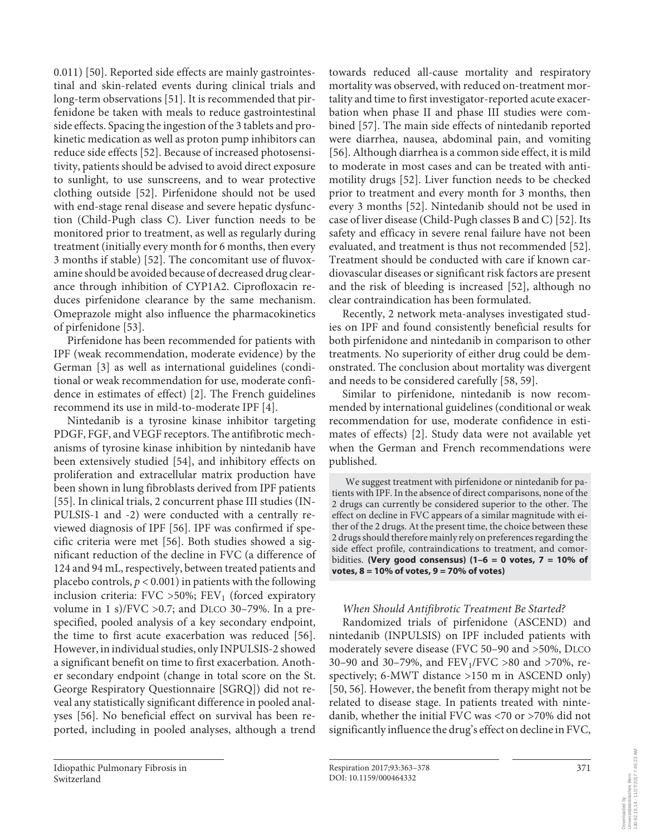0.011) [50]. Reported side effects are mainly gastrointestinal and skin-related events during clinical trials and long-term observations [51]. It is recommended that pirfenidone be taken with meals to reduce gastrointestinal side effects. Spacing the ingestion of the 3 tablets and prokinetic medication as well as proton pump inhibitors can reduce side effects [52]. Because of increased photosensitivity, patients should be advised to avoid direct exposure to sunlight, to use sunscreens, and to wear protective clothing outside [52]. Pirfenidone should not be used with end-stage renal disease and severe hepatic dysfunction (Child-Pugh class C). Liver function needs to be monitored prior to treatment, as well as regularly during treatment (initially every month for 6 months, then every 3 months if stable) [52]. The concomitant use of fluvoxamine should be avoided because of decreased drug clearance through inhibition of CYP1A2. Ciprofloxacin reduces pirfenidone clearance by the same mechanism. Omeprazole might also influence the pharmacokinetics of pirfenidone [53] .

 Pirfenidone has been recommended for patients with IPF (weak recommendation, moderate evidence) by the German [3] as well as international guidelines (conditional or weak recommendation for use, moderate confidence in estimates of effect) [2]. The French guidelines recommend its use in mild-to-moderate IPF [4] .

 Nintedanib is a tyrosine kinase inhibitor targeting PDGF, FGF, and VEGF receptors. The antifibrotic mechanisms of tyrosine kinase inhibition by nintedanib have been extensively studied [54], and inhibitory effects on proliferation and extracellular matrix production have been shown in lung fibroblasts derived from IPF patients [55]. In clinical trials, 2 concurrent phase III studies (IN-PULSIS-1 and -2) were conducted with a centrally reviewed diagnosis of IPF [56]. IPF was confirmed if specific criteria were met [56] . Both studies showed a significant reduction of the decline in FVC (a difference of 124 and 94 mL, respectively, between treated patients and placebo controls,  $p < 0.001$ ) in patients with the following inclusion criteria: FVC > 50%; FEV<sub>1</sub> (forced expiratory volume in 1 s)/FVC  $>0.7$ ; and DLCO 30-79%. In a prespecified, pooled analysis of a key secondary endpoint, the time to first acute exacerbation was reduced [56] . However, in individual studies, only INPULSIS-2 showed a significant benefit on time to first exacerbation. Another secondary endpoint (change in total score on the St. George Respiratory Questionnaire [SGRQ]) did not reveal any statistically significant difference in pooled analyses [56]. No beneficial effect on survival has been reported, including in pooled analyses, although a trend

towards reduced all-cause mortality and respiratory mortality was observed, with reduced on-treatment mortality and time to first investigator-reported acute exacerbation when phase II and phase III studies were combined [57]. The main side effects of nintedanib reported were diarrhea, nausea, abdominal pain, and vomiting [56]. Although diarrhea is a common side effect, it is mild to moderate in most cases and can be treated with antimotility drugs [52]. Liver function needs to be checked prior to treatment and every month for 3 months, then every 3 months [52]. Nintedanib should not be used in case of liver disease (Child-Pugh classes B and C) [52] . Its safety and efficacy in severe renal failure have not been evaluated, and treatment is thus not recommended [52] . Treatment should be conducted with care if known cardiovascular diseases or significant risk factors are present and the risk of bleeding is increased [52], although no clear contraindication has been formulated.

 Recently, 2 network meta-analyses investigated studies on IPF and found consistently beneficial results for both pirfenidone and nintedanib in comparison to other treatments. No superiority of either drug could be demonstrated. The conclusion about mortality was divergent and needs to be considered carefully [58, 59] .

 Similar to pirfenidone, nintedanib is now recommended by international guidelines (conditional or weak recommendation for use, moderate confidence in estimates of effects) [2]. Study data were not available yet when the German and French recommendations were published.

 We suggest treatment with pirfenidone or nintedanib for patients with IPF. In the absence of direct comparisons, none of the 2 drugs can currently be considered superior to the other. The effect on decline in FVC appears of a similar magnitude with either of the 2 drugs. At the present time, the choice between these 2 drugs should therefore mainly rely on preferences regarding the side effect profile, contraindications to treatment, and comorbidities. **(Very good consensus) (1–6 = 0 votes, 7 = 10% of votes, 8 = 10% of votes, 9 = 70% of votes)**

#### *When Should Antifibrotic Treatment Be Started?*

 Randomized trials of pirfenidone (ASCEND) and nintedanib (INPULSIS) on IPF included patients with moderately severe disease (FVC 50–90 and >50%, DLCO 30–90 and 30–79%, and  $FEV_1/FVC > 80$  and >70%, respectively; 6-MWT distance >150 m in ASCEND only) [50, 56]. However, the benefit from therapy might not be related to disease stage. In patients treated with nintedanib, whether the initial FVC was <70 or >70% did not significantly influence the drug's effect on decline in FVC,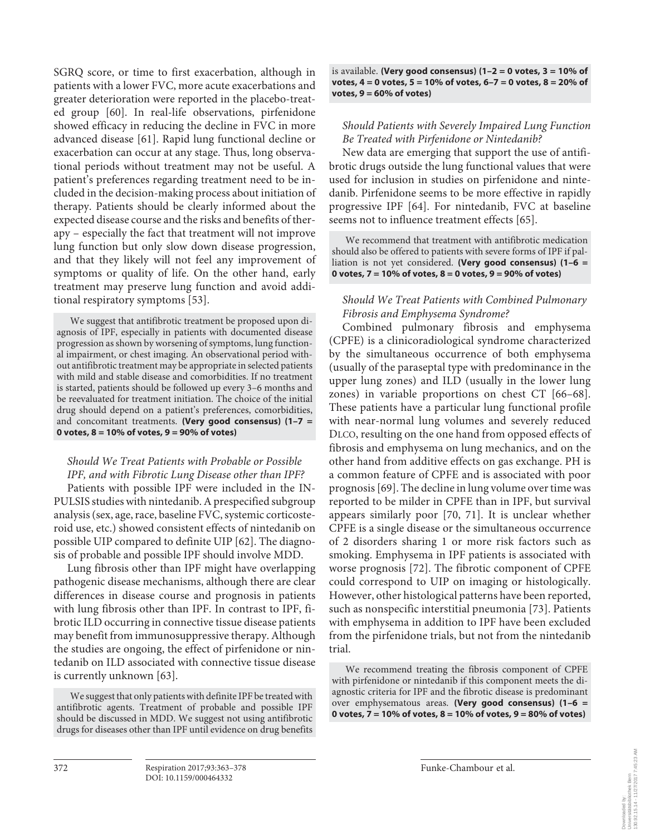SGRQ score, or time to first exacerbation, although in patients with a lower FVC, more acute exacerbations and greater deterioration were reported in the placebo-treated group [60]. In real-life observations, pirfenidone showed efficacy in reducing the decline in FVC in more advanced disease [61]. Rapid lung functional decline or exacerbation can occur at any stage. Thus, long observational periods without treatment may not be useful. A patient's preferences regarding treatment need to be included in the decision-making process about initiation of therapy. Patients should be clearly informed about the expected disease course and the risks and benefits of therapy – especially the fact that treatment will not improve lung function but only slow down disease progression, and that they likely will not feel any improvement of symptoms or quality of life. On the other hand, early treatment may preserve lung function and avoid additional respiratory symptoms [53] .

 We suggest that antifibrotic treatment be proposed upon diagnosis of IPF, especially in patients with documented disease progression as shown by worsening of symptoms, lung functional impairment, or chest imaging. An observational period without antifibrotic treatment may be appropriate in selected patients with mild and stable disease and comorbidities. If no treatment is started, patients should be followed up every 3–6 months and be reevaluated for treatment initiation. The choice of the initial drug should depend on a patient's preferences, comorbidities, and concomitant treatments. **(Very good consensus) (1–7 = 0 votes, 8 = 10% of votes, 9 = 90% of votes)**

# *Should We Treat Patients with Probable or Possible IPF, and with Fibrotic Lung Disease other than IPF?*

 Patients with possible IPF were included in the IN-PULSIS studies with nintedanib. A prespecified subgroup analysis (sex, age, race, baseline FVC, systemic corticosteroid use, etc.) showed consistent effects of nintedanib on possible UIP compared to definite UIP [62] . The diagnosis of probable and possible IPF should involve MDD.

 Lung fibrosis other than IPF might have overlapping pathogenic disease mechanisms, although there are clear differences in disease course and prognosis in patients with lung fibrosis other than IPF. In contrast to IPF, fibrotic ILD occurring in connective tissue disease patients may benefit from immunosuppressive therapy. Although the studies are ongoing, the effect of pirfenidone or nintedanib on ILD associated with connective tissue disease is currently unknown [63] .

 We suggest that only patients with definite IPF be treated with antifibrotic agents. Treatment of probable and possible IPF should be discussed in MDD. We suggest not using antifibrotic drugs for diseases other than IPF until evidence on drug benefits is available. **(Very good consensus) (1–2 = 0 votes, 3 = 10% of votes, 4 = 0 votes, 5 = 10% of votes, 6–7 = 0 votes, 8 = 20% of votes, 9 = 60% of votes)**

## *Should Patients with Severely Impaired Lung Function Be Treated with Pirfenidone or Nintedanib?*

 New data are emerging that support the use of antifibrotic drugs outside the lung functional values that were used for inclusion in studies on pirfenidone and nintedanib. Pirfenidone seems to be more effective in rapidly progressive IPF [64]. For nintedanib, FVC at baseline seems not to influence treatment effects [65].

 We recommend that treatment with antifibrotic medication should also be offered to patients with severe forms of IPF if palliation is not yet considered. **(Very good consensus) (1–6 = 0 votes, 7 = 10% of votes, 8 = 0 votes, 9 = 90% of votes)**

# *Should We Treat Patients with Combined Pulmonary Fibrosis and Emphysema Syndrome?*

 Combined pulmonary fibrosis and emphysema (CPFE) is a clinicoradiological syndrome characterized by the simultaneous occurrence of both emphysema (usually of the paraseptal type with predominance in the upper lung zones) and ILD (usually in the lower lung zones) in variable proportions on chest CT [66–68]. These patients have a particular lung functional profile with near-normal lung volumes and severely reduced DLCO, resulting on the one hand from opposed effects of fibrosis and emphysema on lung mechanics, and on the other hand from additive effects on gas exchange. PH is a common feature of CPFE and is associated with poor prognosis [69] . The decline in lung volume over time was reported to be milder in CPFE than in IPF, but survival appears similarly poor [70, 71]. It is unclear whether CPFE is a single disease or the simultaneous occurrence of 2 disorders sharing 1 or more risk factors such as smoking. Emphysema in IPF patients is associated with worse prognosis [72]. The fibrotic component of CPFE could correspond to UIP on imaging or histologically. However, other histological patterns have been reported, such as nonspecific interstitial pneumonia [73] . Patients with emphysema in addition to IPF have been excluded from the pirfenidone trials, but not from the nintedanib trial.

 We recommend treating the fibrosis component of CPFE with pirfenidone or nintedanib if this component meets the diagnostic criteria for IPF and the fibrotic disease is predominant over emphysematous areas. **(Very good consensus) (1–6 = 0 votes, 7 = 10% of votes, 8 = 10% of votes, 9 = 80% of votes)**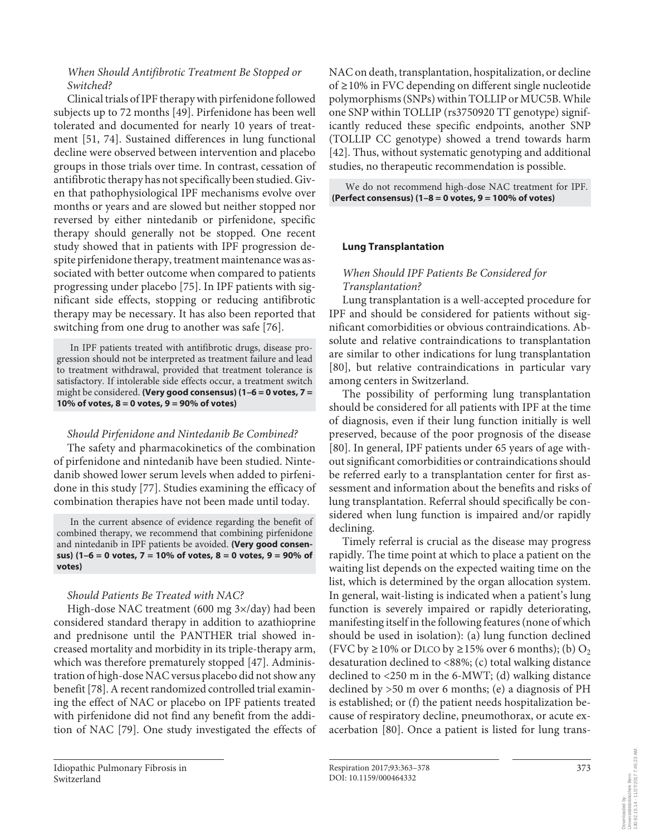## *When Should Antifibrotic Treatment Be Stopped or Switched?*

 Clinical trials of IPF therapy with pirfenidone followed subjects up to 72 months [49]. Pirfenidone has been well tolerated and documented for nearly 10 years of treatment [51, 74]. Sustained differences in lung functional decline were observed between intervention and placebo groups in those trials over time. In contrast, cessation of antifibrotic therapy has not specifically been studied. Given that pathophysiological IPF mechanisms evolve over months or years and are slowed but neither stopped nor reversed by either nintedanib or pirfenidone, specific therapy should generally not be stopped. One recent study showed that in patients with IPF progression despite pirfenidone therapy, treatment maintenance was associated with better outcome when compared to patients progressing under placebo [75] . In IPF patients with significant side effects, stopping or reducing antifibrotic therapy may be necessary. It has also been reported that switching from one drug to another was safe [76].

 In IPF patients treated with antifibrotic drugs, disease progression should not be interpreted as treatment failure and lead to treatment withdrawal, provided that treatment tolerance is satisfactory. If intolerable side effects occur, a treatment switch might be considered. **(Very good consensus) (1–6 = 0 votes, 7 = 10% of votes, 8 = 0 votes, 9 = 90% of votes)**

#### *Should Pirfenidone and Nintedanib Be Combined?*

 The safety and pharmacokinetics of the combination of pirfenidone and nintedanib have been studied. Nintedanib showed lower serum levels when added to pirfenidone in this study [77]. Studies examining the efficacy of combination therapies have not been made until today.

 In the current absence of evidence regarding the benefit of combined therapy, we recommend that combining pirfenidone and nintedanib in IPF patients be avoided. **(Very good consensus) (1–6 = 0 votes, 7 = 10% of votes, 8 = 0 votes, 9 = 90% of votes)**

# *Should Patients Be Treated with NAC?*

 High-dose NAC treatment (600 mg 3×/day) had been considered standard therapy in addition to azathioprine and prednisone until the PANTHER trial showed increased mortality and morbidity in its triple-therapy arm, which was therefore prematurely stopped [47]. Administration of high-dose NAC versus placebo did not show any benefit [78]. A recent randomized controlled trial examining the effect of NAC or placebo on IPF patients treated with pirfenidone did not find any benefit from the addition of NAC [79]. One study investigated the effects of

 Idiopathic Pulmonary Fibrosis in Switzerland

NAC on death, transplantation, hospitalization, or decline of ≥ 10% in FVC depending on different single nucleotide polymorphisms (SNPs) within TOLLIP or MUC5B. While one SNP within TOLLIP (rs3750920 TT genotype) significantly reduced these specific endpoints, another SNP (TOLLIP CC genotype) showed a trend towards harm [42]. Thus, without systematic genotyping and additional studies, no therapeutic recommendation is possible.

 We do not recommend high-dose NAC treatment for IPF. **(Perfect consensus) (1–8 = 0 votes, 9 = 100% of votes)**

# **Lung Transplantation**

# *When Should IPF Patients Be Considered for Transplantation?*

 Lung transplantation is a well-accepted procedure for IPF and should be considered for patients without significant comorbidities or obvious contraindications. Absolute and relative contraindications to transplantation are similar to other indications for lung transplantation [80], but relative contraindications in particular vary among centers in Switzerland.

 The possibility of performing lung transplantation should be considered for all patients with IPF at the time of diagnosis, even if their lung function initially is well preserved, because of the poor prognosis of the disease [80]. In general, IPF patients under 65 years of age without significant comorbidities or contraindications should be referred early to a transplantation center for first assessment and information about the benefits and risks of lung transplantation. Referral should specifically be considered when lung function is impaired and/or rapidly declining.

 Timely referral is crucial as the disease may progress rapidly. The time point at which to place a patient on the waiting list depends on the expected waiting time on the list, which is determined by the organ allocation system. In general, wait-listing is indicated when a patient's lung function is severely impaired or rapidly deteriorating, manifesting itself in the following features (none of which should be used in isolation): (a) lung function declined (FVC by  $\geq$  10% or DLCO by  $\geq$  15% over 6 months); (b) O<sub>2</sub> desaturation declined to <88%; (c) total walking distance declined to <250 m in the 6-MWT; (d) walking distance declined by >50 m over 6 months; (e) a diagnosis of PH is established; or (f) the patient needs hospitalization because of respiratory decline, pneumothorax, or acute exacerbation [80]. Once a patient is listed for lung trans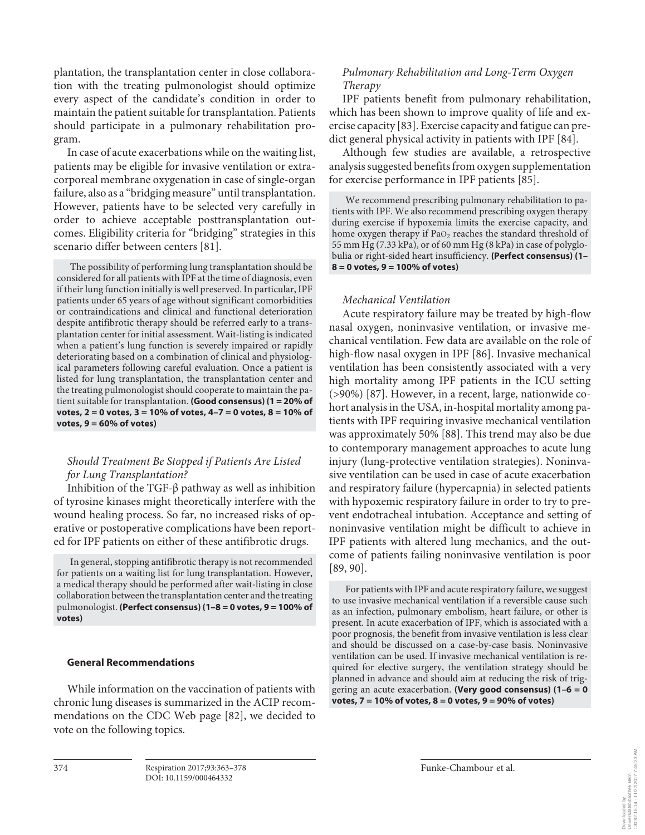plantation, the transplantation center in close collaboration with the treating pulmonologist should optimize every aspect of the candidate's condition in order to maintain the patient suitable for transplantation. Patients should participate in a pulmonary rehabilitation program.

 In case of acute exacerbations while on the waiting list, patients may be eligible for invasive ventilation or extracorporeal membrane oxygenation in case of single-organ failure, also as a "bridging measure" until transplantation. However, patients have to be selected very carefully in order to achieve acceptable posttransplantation outcomes. Eligibility criteria for "bridging" strategies in this scenario differ between centers [81] .

 The possibility of performing lung transplantation should be considered for all patients with IPF at the time of diagnosis, even if their lung function initially is well preserved. In particular, IPF patients under 65 years of age without significant comorbidities or contraindications and clinical and functional deterioration despite antifibrotic therapy should be referred early to a transplantation center for initial assessment. Wait-listing is indicated when a patient's lung function is severely impaired or rapidly deteriorating based on a combination of clinical and physiological parameters following careful evaluation. Once a patient is listed for lung transplantation, the transplantation center and the treating pulmonologist should cooperate to maintain the patient suitable for transplantation. **(Good consensus) (1 = 20% of votes, 2 = 0 votes, 3 = 10% of votes, 4–7 = 0 votes, 8 = 10% of votes, 9 = 60% of votes)**

# *Should Treatment Be Stopped if Patients Are Listed for Lung Transplantation?*

 Inhibition of the TGF-β pathway as well as inhibition of tyrosine kinases might theoretically interfere with the wound healing process. So far, no increased risks of operative or postoperative complications have been reported for IPF patients on either of these antifibrotic drugs.

 In general, stopping antifibrotic therapy is not recommended for patients on a waiting list for lung transplantation. However, a medical therapy should be performed after wait-listing in close collaboration between the transplantation center and the treating pulmonologist. **(Perfect consensus) (1–8 = 0 votes, 9 = 100% of votes)**

#### **General Recommendations**

 While information on the vaccination of patients with chronic lung diseases is summarized in the ACIP recommendations on the CDC Web page [82], we decided to vote on the following topics.

# *Pulmonary Rehabilitation and Long-Term Oxygen Therapy*

 IPF patients benefit from pulmonary rehabilitation, which has been shown to improve quality of life and exercise capacity [83]. Exercise capacity and fatigue can predict general physical activity in patients with IPF [84].

 Although few studies are available, a retrospective analysis suggested benefits from oxygen supplementation for exercise performance in IPF patients [85] .

 We recommend prescribing pulmonary rehabilitation to patients with IPF. We also recommend prescribing oxygen therapy during exercise if hypoxemia limits the exercise capacity, and home oxygen therapy if PaO<sub>2</sub> reaches the standard threshold of 55 mm Hg (7.33 kPa), or of 60 mm Hg (8 kPa) in case of polyglobulia or right-sided heart insufficiency. **(Perfect consensus) (1– 8 = 0 votes, 9 = 100% of votes)**

# *Mechanical Ventilation*

 Acute respiratory failure may be treated by high-flow nasal oxygen, noninvasive ventilation, or invasive mechanical ventilation. Few data are available on the role of high-flow nasal oxygen in IPF [86]. Invasive mechanical ventilation has been consistently associated with a very high mortality among IPF patients in the ICU setting (>90%) [87]. However, in a recent, large, nationwide cohort analysis in the USA, in-hospital mortality among patients with IPF requiring invasive mechanical ventilation was approximately 50% [88]. This trend may also be due to contemporary management approaches to acute lung injury (lung-protective ventilation strategies). Noninvasive ventilation can be used in case of acute exacerbation and respiratory failure (hypercapnia) in selected patients with hypoxemic respiratory failure in order to try to prevent endotracheal intubation. Acceptance and setting of noninvasive ventilation might be difficult to achieve in IPF patients with altered lung mechanics, and the outcome of patients failing noninvasive ventilation is poor  $[89, 90]$ .

 For patients with IPF and acute respiratory failure, we suggest to use invasive mechanical ventilation if a reversible cause such as an infection, pulmonary embolism, heart failure, or other is present. In acute exacerbation of IPF, which is associated with a poor prognosis, the benefit from invasive ventilation is less clear and should be discussed on a case-by-case basis. Noninvasive ventilation can be used. If invasive mechanical ventilation is required for elective surgery, the ventilation strategy should be planned in advance and should aim at reducing the risk of triggering an acute exacerbation. **(Very good consensus) (1–6 = 0 votes, 7 = 10% of votes, 8 = 0 votes, 9 = 90% of votes)**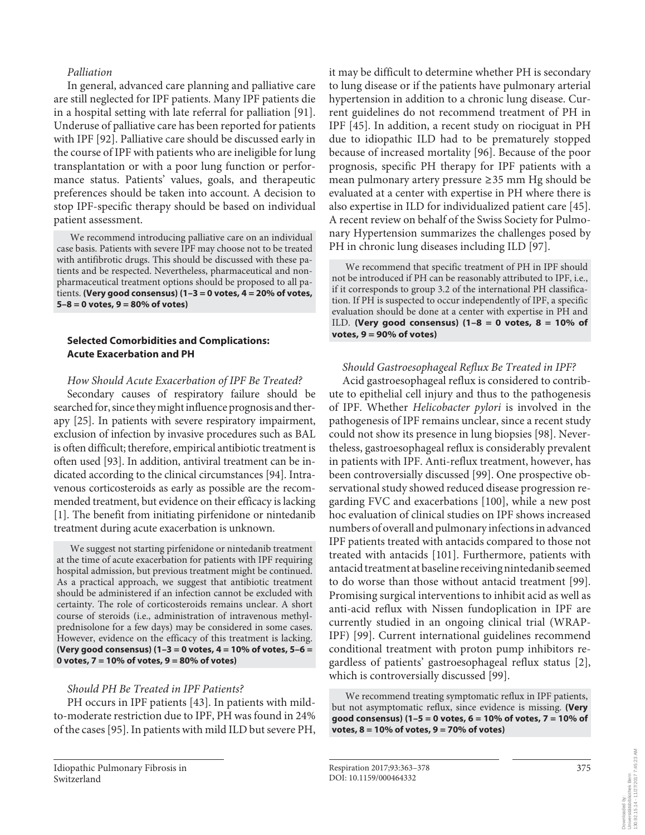#### *Palliation*

 In general, advanced care planning and palliative care are still neglected for IPF patients. Many IPF patients die in a hospital setting with late referral for palliation [91] . Underuse of palliative care has been reported for patients with IPF [92]. Palliative care should be discussed early in the course of IPF with patients who are ineligible for lung transplantation or with a poor lung function or performance status. Patients' values, goals, and therapeutic preferences should be taken into account. A decision to stop IPF-specific therapy should be based on individual patient assessment.

 We recommend introducing palliative care on an individual case basis. Patients with severe IPF may choose not to be treated with antifibrotic drugs. This should be discussed with these patients and be respected. Nevertheless, pharmaceutical and nonpharmaceutical treatment options should be proposed to all patients. **(Very good consensus) (1–3 = 0 votes, 4 = 20% of votes, 5–8 = 0 votes, 9 = 80% of votes)**

#### **Selected Comorbidities and Complications: Acute Exacerbation and PH**

 *How Should Acute Exacerbation of IPF Be Treated?* 

 Secondary causes of respiratory failure should be searched for, since they might influence prognosis and therapy [25]. In patients with severe respiratory impairment, exclusion of infection by invasive procedures such as BAL is often difficult; therefore, empirical antibiotic treatment is often used [93]. In addition, antiviral treatment can be indicated according to the clinical circumstances [94] . Intravenous corticosteroids as early as possible are the recommended treatment, but evidence on their efficacy is lacking [1]. The benefit from initiating pirfenidone or nintedanib treatment during acute exacerbation is unknown.

 We suggest not starting pirfenidone or nintedanib treatment at the time of acute exacerbation for patients with IPF requiring hospital admission, but previous treatment might be continued. As a practical approach, we suggest that antibiotic treatment should be administered if an infection cannot be excluded with certainty. The role of corticosteroids remains unclear. A short course of steroids (i.e., administration of intravenous methylprednisolone for a few days) may be considered in some cases. However, evidence on the efficacy of this treatment is lacking. **(Very good consensus) (1–3 = 0 votes, 4 = 10% of votes, 5–6 = 0 votes, 7 = 10% of votes, 9 = 80% of votes)**

#### *Should PH Be Treated in IPF Patients?*

PH occurs in IPF patients [43]. In patients with mildto-moderate restriction due to IPF, PH was found in 24% of the cases [95] . In patients with mild ILD but severe PH, it may be difficult to determine whether PH is secondary to lung disease or if the patients have pulmonary arterial hypertension in addition to a chronic lung disease. Current guidelines do not recommend treatment of PH in IPF [45]. In addition, a recent study on riociguat in PH due to idiopathic ILD had to be prematurely stopped because of increased mortality [96]. Because of the poor prognosis, specific PH therapy for IPF patients with a mean pulmonary artery pressure ≥ 35 mm Hg should be evaluated at a center with expertise in PH where there is also expertise in ILD for individualized patient care [45] . A recent review on behalf of the Swiss Society for Pulmonary Hypertension summarizes the challenges posed by PH in chronic lung diseases including ILD [97].

 We recommend that specific treatment of PH in IPF should not be introduced if PH can be reasonably attributed to IPF, i.e., if it corresponds to group 3.2 of the international PH classification. If PH is suspected to occur independently of IPF, a specific evaluation should be done at a center with expertise in PH and ILD. **(Very good consensus) (1–8 = 0 votes, 8 = 10% of votes, 9 = 90% of votes)**

#### *Should Gastroesophageal Reflux Be Treated in IPF?*

 Acid gastroesophageal reflux is considered to contribute to epithelial cell injury and thus to the pathogenesis of IPF. Whether *Helicobacter pylori* is involved in the pathogenesis of IPF remains unclear, since a recent study could not show its presence in lung biopsies [98] . Nevertheless, gastroesophageal reflux is considerably prevalent in patients with IPF. Anti-reflux treatment, however, has been controversially discussed [99]. One prospective observational study showed reduced disease progression regarding FVC and exacerbations [100], while a new post hoc evaluation of clinical studies on IPF shows increased numbers of overall and pulmonary infections in advanced IPF patients treated with antacids compared to those not treated with antacids [101]. Furthermore, patients with antacid treatment at baseline receiving nintedanib seemed to do worse than those without antacid treatment [99]. Promising surgical interventions to inhibit acid as well as anti-acid reflux with Nissen fundoplication in IPF are currently studied in an ongoing clinical trial (WRAP-IPF) [99]. Current international guidelines recommend conditional treatment with proton pump inhibitors regardless of patients' gastroesophageal reflux status [2], which is controversially discussed [99].

 We recommend treating symptomatic reflux in IPF patients, but not asymptomatic reflux, since evidence is missing. **(Very good consensus) (1–5 = 0 votes, 6 = 10% of votes, 7 = 10% of votes, 8 = 10% of votes, 9 = 70% of votes)**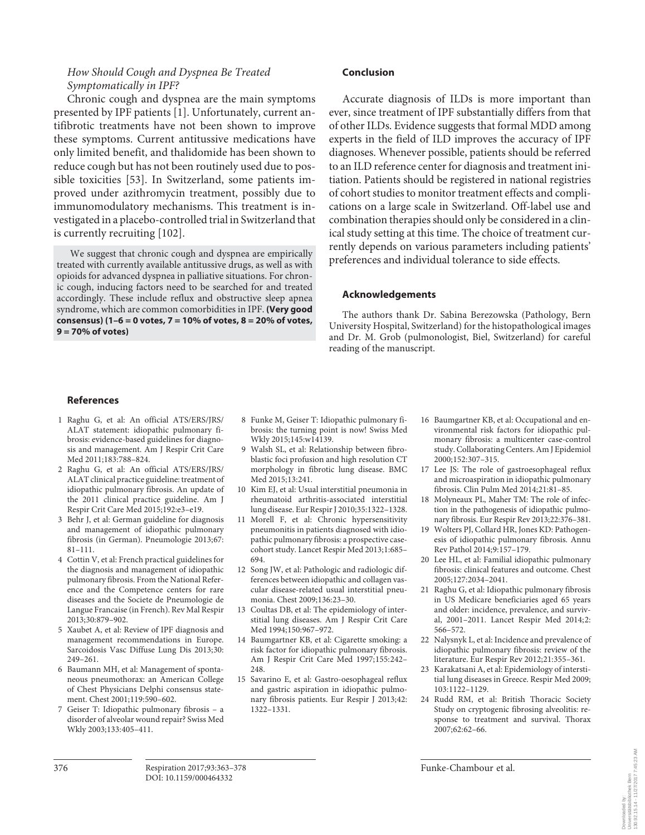# *How Should Cough and Dyspnea Be Treated Symptomatically in IPF?*

 Chronic cough and dyspnea are the main symptoms presented by IPF patients [1]. Unfortunately, current antifibrotic treatments have not been shown to improve these symptoms. Current antitussive medications have only limited benefit, and thalidomide has been shown to reduce cough but has not been routinely used due to possible toxicities [53]. In Switzerland, some patients improved under azithromycin treatment, possibly due to immunomodulatory mechanisms. This treatment is investigated in a placebo-controlled trial in Switzerland that is currently recruiting [102].

 We suggest that chronic cough and dyspnea are empirically treated with currently available antitussive drugs, as well as with opioids for advanced dyspnea in palliative situations. For chronic cough, inducing factors need to be searched for and treated accordingly. These include reflux and obstructive sleep apnea syndrome, which are common comorbidities in IPF. **(Very good consensus) (1–6 = 0 votes, 7 = 10% of votes, 8 = 20% of votes, 9 = 70% of votes)**

#### **Conclusion**

 Accurate diagnosis of ILDs is more important than ever, since treatment of IPF substantially differs from that of other ILDs. Evidence suggests that formal MDD among experts in the field of ILD improves the accuracy of IPF diagnoses. Whenever possible, patients should be referred to an ILD reference center for diagnosis and treatment initiation. Patients should be registered in national registries of cohort studies to monitor treatment effects and complications on a large scale in Switzerland. Off-label use and combination therapies should only be considered in a clinical study setting at this time. The choice of treatment currently depends on various parameters including patients' preferences and individual tolerance to side effects.

#### **Acknowledgements**

 The authors thank Dr. Sabina Berezowska (Pathology, Bern University Hospital, Switzerland) for the histopathological images and Dr. M. Grob (pulmonologist, Biel, Switzerland) for careful reading of the manuscript.

#### **References**

- 1 Raghu G, et al: An official ATS/ERS/JRS/ ALAT statement: idiopathic pulmonary fibrosis: evidence-based guidelines for diagnosis and management. Am J Respir Crit Care Med 2011;183:788–824.
- 2 Raghu G, et al: An official ATS/ERS/JRS/ ALAT clinical practice guideline: treatment of idiopathic pulmonary fibrosis. An update of the 2011 clinical practice guideline. Am J Respir Crit Care Med 2015;192:e3–e19.
- 3 Behr J, et al: German guideline for diagnosis and management of idiopathic pulmonary fibrosis (in German). Pneumologie 2013;67: 81–111.
- 4 Cottin V, et al: French practical guidelines for the diagnosis and management of idiopathic pulmonary fibrosis. From the National Reference and the Competence centers for rare diseases and the Societe de Pneumologie de Langue Francaise (in French). Rev Mal Respir 2013;30:879–902.
- 5 Xaubet A, et al: Review of IPF diagnosis and management recommendations in Europe. Sarcoidosis Vasc Diffuse Lung Dis 2013;30: 249–261.
- 6 Baumann MH, et al: Management of spontaneous pneumothorax: an American College of Chest Physicians Delphi consensus statement. Chest 2001;119:590–602.
- 7 Geiser T: Idiopathic pulmonary fibrosis a disorder of alveolar wound repair? Swiss Med Wkly 2003;133:405–411.
- 8 Funke M, Geiser T: Idiopathic pulmonary fibrosis: the turning point is now! Swiss Med Wkly 2015;145:w14139.
- 9 Walsh SL, et al: Relationship between fibroblastic foci profusion and high resolution CT morphology in fibrotic lung disease. BMC Med 2015;13:241.
- 10 Kim EJ, et al: Usual interstitial pneumonia in rheumatoid arthritis-associated interstitial lung disease. Eur Respir J 2010;35:1322–1328.
- 11 Morell F, et al: Chronic hypersensitivity pneumonitis in patients diagnosed with idiopathic pulmonary fibrosis: a prospective casecohort study. Lancet Respir Med 2013;1:685– 694.
- 12 Song JW, et al: Pathologic and radiologic differences between idiopathic and collagen vascular disease-related usual interstitial pneumonia. Chest 2009;136:23–30.
- 13 Coultas DB, et al: The epidemiology of interstitial lung diseases. Am J Respir Crit Care Med 1994;150:967–972.
- 14 Baumgartner KB, et al: Cigarette smoking: a risk factor for idiopathic pulmonary fibrosis. Am J Respir Crit Care Med 1997;155:242– 248.
- 15 Savarino E, et al: Gastro-oesophageal reflux and gastric aspiration in idiopathic pulmonary fibrosis patients. Eur Respir J 2013;42: 1322–1331.
- 16 Baumgartner KB, et al: Occupational and environmental risk factors for idiopathic pulmonary fibrosis: a multicenter case-control study. Collaborating Centers. Am J Epidemiol 2000;152:307–315.
- 17 Lee JS: The role of gastroesophageal reflux and microaspiration in idiopathic pulmonary fibrosis. Clin Pulm Med 2014;21:81–85.
- 18 Molyneaux PL, Maher TM: The role of infection in the pathogenesis of idiopathic pulmonary fibrosis. Eur Respir Rev 2013;22:376–381.
- 19 Wolters PJ, Collard HR, Jones KD: Pathogenesis of idiopathic pulmonary fibrosis. Annu Rev Pathol 2014;9:157–179.
- 20 Lee HL, et al: Familial idiopathic pulmonary fibrosis: clinical features and outcome. Chest 2005;127:2034–2041.
- 21 Raghu G, et al: Idiopathic pulmonary fibrosis in US Medicare beneficiaries aged 65 years and older: incidence, prevalence, and survival, 2001–2011. Lancet Respir Med 2014;2: 566–572.
- 22 Nalysnyk L, et al: Incidence and prevalence of idiopathic pulmonary fibrosis: review of the literature. Eur Respir Rev 2012;21:355–361.
- 23 Karakatsani A, et al: Epidemiology of interstitial lung diseases in Greece. Respir Med 2009; 103:1122–1129.
- 24 Rudd RM, et al: British Thoracic Society Study on cryptogenic fibrosing alveolitis: response to treatment and survival. Thorax 2007;62:62–66.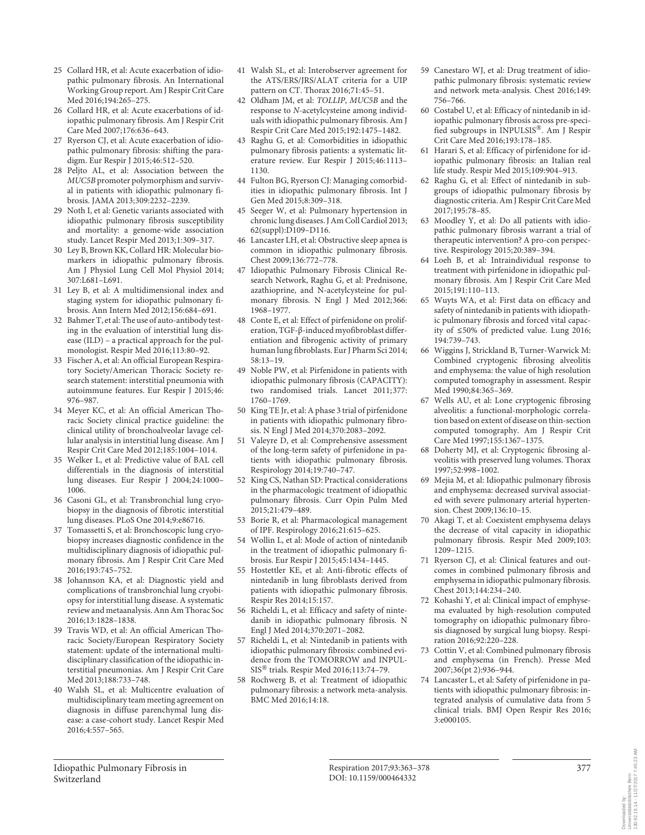- 25 Collard HR, et al: Acute exacerbation of idiopathic pulmonary fibrosis. An International Working Group report. Am J Respir Crit Care Med 2016;194:265–275.
- 26 Collard HR, et al: Acute exacerbations of idiopathic pulmonary fibrosis. Am J Respir Crit Care Med 2007;176:636–643.
- 27 Ryerson CJ, et al: Acute exacerbation of idiopathic pulmonary fibrosis: shifting the paradigm. Eur Respir J 2015;46:512–520.
- 28 Peljto AL, et al: Association between the *MUC5B* promoter polymorphism and survival in patients with idiopathic pulmonary fibrosis. JAMA 2013;309:2232–2239.
- 29 Noth I, et al: Genetic variants associated with idiopathic pulmonary fibrosis susceptibility and mortality: a genome-wide association study. Lancet Respir Med 2013;1:309–317.
- 30 Ley B, Brown KK, Collard HR: Molecular biomarkers in idiopathic pulmonary fibrosis. Am J Physiol Lung Cell Mol Physiol 2014; 307:L681–L691.
- 31 Ley B, et al: A multidimensional index and staging system for idiopathic pulmonary fibrosis. Ann Intern Med 2012;156:684–691.
- 32 Bahmer T, et al: The use of auto-antibody testing in the evaluation of interstitial lung disease (ILD) – a practical approach for the pulmonologist. Respir Med 2016;113:80–92.
- 33 Fischer A, et al: An official European Respiratory Society/American Thoracic Society research statement: interstitial pneumonia with autoimmune features. Eur Respir J 2015;46: 976–987.
- 34 Meyer KC, et al: An official American Thoracic Society clinical practice guideline: the clinical utility of bronchoalveolar lavage cellular analysis in interstitial lung disease. Am J Respir Crit Care Med 2012;185:1004–1014.
- 35 Welker L, et al: Predictive value of BAL cell differentials in the diagnosis of interstitial lung diseases. Eur Respir J 2004;24:1000– 1006.
- 36 Casoni GL, et al: Transbronchial lung cryobiopsy in the diagnosis of fibrotic interstitial lung diseases. PLoS One 2014;9:e86716.
- 37 Tomassetti S, et al: Bronchoscopic lung cryobiopsy increases diagnostic confidence in the multidisciplinary diagnosis of idiopathic pulmonary fibrosis. Am J Respir Crit Care Med 2016;193:745–752.
- 38 Johannson KA, et al: Diagnostic yield and complications of transbronchial lung cryobiopsy for interstitial lung disease. A systematic review and metaanalysis. Ann Am Thorac Soc 2016;13:1828–1838.
- 39 Travis WD, et al: An official American Thoracic Society/European Respiratory Society statement: update of the international multidisciplinary classification of the idiopathic interstitial pneumonias. Am J Respir Crit Care Med 2013;188:733–748.
- 40 Walsh SL, et al: Multicentre evaluation of multidisciplinary team meeting agreement on diagnosis in diffuse parenchymal lung disease: a case-cohort study. Lancet Respir Med 2016;4:557–565.
- 41 Walsh SL, et al: Interobserver agreement for the ATS/ERS/JRS/ALAT criteria for a UIP pattern on CT. Thorax 2016;71:45–51.
- 42 Oldham JM, et al: *TOLLIP* , *MUC5B* and the response to *N* -acetylcysteine among individuals with idiopathic pulmonary fibrosis. Am J Respir Crit Care Med 2015;192:1475–1482.
- 43 Raghu G, et al: Comorbidities in idiopathic pulmonary fibrosis patients: a systematic literature review. Eur Respir J 2015;46:1113– 1130.
- 44 Fulton BG, Ryerson CJ: Managing comorbidities in idiopathic pulmonary fibrosis. Int J Gen Med 2015;8:309–318.
- 45 Seeger W, et al: Pulmonary hypertension in chronic lung diseases. J Am Coll Cardiol 2013; 62(suppl):D109–D116.
- 46 Lancaster LH, et al: Obstructive sleep apnea is common in idiopathic pulmonary fibrosis. Chest 2009;136:772–778.
- 47 Idiopathic Pulmonary Fibrosis Clinical Research Network, Raghu G, et al: Prednisone, azathioprine, and N-acetylcysteine for pulmonary fibrosis. N Engl J Med 2012;366: 1968–1977.
- 48 Conte E, et al: Effect of pirfenidone on proliferation, TGF-β-induced myofibroblast differentiation and fibrogenic activity of primary human lung fibroblasts. Eur J Pharm Sci 2014; 58:13–19.
- 49 Noble PW, et al: Pirfenidone in patients with idiopathic pulmonary fibrosis (CAPACITY): two randomised trials. Lancet 2011; 377: 1760–1769.
- 50 King TE Jr, et al: A phase 3 trial of pirfenidone in patients with idiopathic pulmonary fibrosis. N Engl J Med 2014;370:2083–2092.
- 51 Valeyre D, et al: Comprehensive assessment of the long-term safety of pirfenidone in patients with idiopathic pulmonary fibrosis. Respirology 2014;19:740–747.
- 52 King CS, Nathan SD: Practical considerations in the pharmacologic treatment of idiopathic pulmonary fibrosis. Curr Opin Pulm Med 2015;21:479–489.
- 53 Borie R, et al: Pharmacological management of IPF. Respirology 2016;21:615–625.
- 54 Wollin L, et al: Mode of action of nintedanib in the treatment of idiopathic pulmonary fibrosis. Eur Respir J 2015;45:1434–1445.
- 55 Hostettler KE, et al: Anti-fibrotic effects of nintedanib in lung fibroblasts derived from patients with idiopathic pulmonary fibrosis. Respir Res 2014;15:157.
- 56 Richeldi L, et al: Efficacy and safety of nintedanib in idiopathic pulmonary fibrosis. N Engl J Med 2014;370:2071–2082.
- 57 Richeldi L, et al: Nintedanib in patients with idiopathic pulmonary fibrosis: combined evidence from the TOMORROW and INPUL-SIS ® trials. Respir Med 2016;113:74–79.
- 58 Rochwerg B, et al: Treatment of idiopathic pulmonary fibrosis: a network meta-analysis. BMC Med 2016;14:18.
- 59 Canestaro WJ, et al: Drug treatment of idiopathic pulmonary fibrosis: systematic review and network meta-analysis. Chest 2016;149: 756–766.
- 60 Costabel U, et al: Efficacy of nintedanib in idiopathic pulmonary fibrosis across pre-specified subgroups in INPULSIS<sup>®</sup>. Am J Respir Crit Care Med 2016;193:178–185.
- 61 Harari S, et al: Efficacy of pirfenidone for idiopathic pulmonary fibrosis: an Italian real life study. Respir Med 2015;109:904–913.
- 62 Raghu G, et al: Effect of nintedanib in subgroups of idiopathic pulmonary fibrosis by diagnostic criteria. Am J Respir Crit Care Med 2017;195:78–85.
- 63 Moodley Y, et al: Do all patients with idiopathic pulmonary fibrosis warrant a trial of therapeutic intervention? A pro-con perspective. Respirology 2015;20:389–394.
- 64 Loeh B, et al: Intraindividual response to treatment with pirfenidone in idiopathic pulmonary fibrosis. Am J Respir Crit Care Med 2015;191:110–113.
- 65 Wuyts WA, et al: First data on efficacy and safety of nintedanib in patients with idiopathic pulmonary fibrosis and forced vital capacity of ≤ 50% of predicted value. Lung 2016; 194:739–743.
- 66 Wiggins J, Strickland B, Turner-Warwick M: Combined cryptogenic fibrosing alveolitis and emphysema: the value of high resolution computed tomography in assessment. Respir Med 1990;84:365–369.
- 67 Wells AU, et al: Lone cryptogenic fibrosing alveolitis: a functional-morphologic correlation based on extent of disease on thin-section computed tomography. Am J Respir Crit Care Med 1997;155:1367–1375.
- Doherty MJ, et al: Cryptogenic fibrosing alveolitis with preserved lung volumes. Thorax 1997;52:998–1002.
- 69 Mejia M, et al: Idiopathic pulmonary fibrosis and emphysema: decreased survival associated with severe pulmonary arterial hypertension. Chest 2009;136:10–15.
- 70 Akagi T, et al: Coexistent emphysema delays the decrease of vital capacity in idiopathic pulmonary fibrosis. Respir Med 2009;103: 1209–1215.
- 71 Ryerson CJ, et al: Clinical features and outcomes in combined pulmonary fibrosis and emphysema in idiopathic pulmonary fibrosis. Chest 2013;144:234–240.
- 72 Kohashi Y, et al: Clinical impact of emphysema evaluated by high-resolution computed tomography on idiopathic pulmonary fibrosis diagnosed by surgical lung biopsy. Respiration 2016;92:220–228.
- 73 Cottin V, et al: Combined pulmonary fibrosis and emphysema (in French). Presse Med 2007;36(pt 2):936–944.
- 74 Lancaster L, et al: Safety of pirfenidone in patients with idiopathic pulmonary fibrosis: integrated analysis of cumulative data from 5 clinical trials. BMJ Open Respir Res 2016; 3:e000105.